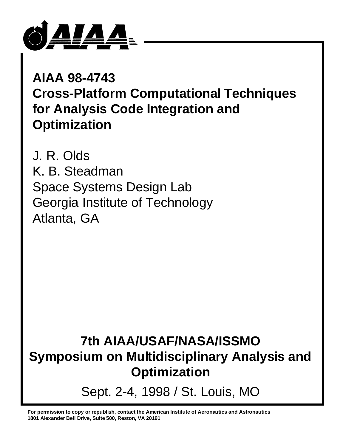

**AIAA 98-4743 Cross-Platform Computational Techniques for Analysis Code Integration and Optimization**

J. R. Olds K. B. Steadman Space Systems Design Lab Georgia Institute of Technology Atlanta, GA

# **7th AIAA/USAF/NASA/ISSMO Symposium on Multidisciplinary Analysis and Optimization**

Sept. 2-4, 1998 / St. Louis, MO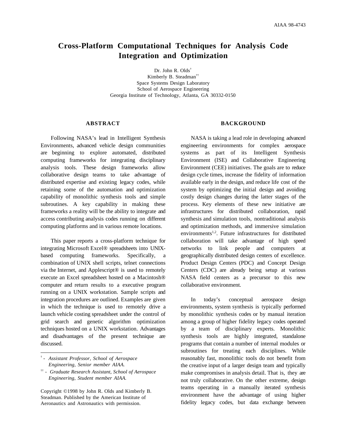# **Cross-Platform Computational Techniques for Analysis Code Integration and Optimization**

Dr. John R. Olds† Kimberly B. Steadman†† Space Systems Design Laboratory School of Aerospace Engineering Georgia Institute of Technology, Atlanta, GA 30332-0150

# **ABSTRACT**

Following NASA's lead in Intelligent Synthesis Environments, advanced vehicle design communities are beginning to explore automated, distributed computing frameworks for integrating disciplinary analysis tools. These design frameworks allow collaborative design teams to take advantage of distributed expertise and existing legacy codes, while retaining some of the automation and optimization capability of monolithic synthesis tools and simple subroutines. A key capability in making these frameworks a reality will be the ability to integrate and access contributing analysis codes running on different computing platforms and in various remote locations.

This paper reports a cross-platform technique for integrating Microsoft Excel® spreadsheets into UNIXbased computing frameworks. Specifically, a combination of UNIX shell scripts, telnet connections via the Internet, and Applescript® is used to remotely execute an Excel spreadsheet hosted on a Macintosh® computer and return results to a executive program running on a UNIX workstation. Sample scripts and integration procedures are outlined. Examples are given in which the technique is used to remotely drive a launch vehicle costing spreadsheet under the control of grid search and genetic algorithm optimization techniques hosted on a UNIX workstation. Advantages and disadvantages of the present technique are discussed.

Copyright ©1998 by John R. Olds and Kimberly B. Steadman. Published by the American Institute of Aeronautics and Astronautics with permission.

#### **BACKGROUND**

NASA is taking a lead role in developing advanced engineering environments for complex aerospace systems as part of its Intelligent Synthesis Environment (ISE) and Collaborative Engineering Environment (CEE) initiatives. The goals are to reduce design cycle times, increase the fidelity of information available early in the design, and reduce life cost of the system by optimizing the initial design and avoiding costly design changes during the latter stages of the process. Key elements of these new initiative are infrastructures for distributed collaboration, rapid synthesis and simulation tools, nontraditional analysis and optimization methods, and immersive simulation environments<sup>1,2</sup>. Future infrastructures for distributed collaboration will take advantage of high speed networks to link people and computers at geographically distributed design centers of excellence. Product Design Centers (PDC) and Concept Design Centers (CDC) are already being setup at various NASA field centers as a precursor to this new collaborative environment.

In today's conceptual aerospace design environments, system synthesis is typically performed by monolithic synthesis codes or by manual iteration among a group of higher fidelity legacy codes operated by a team of disciplinary experts. Monolithic synthesis tools are highly integrated, standalone programs that contain a number of internal modules or subroutines for treating each disciplines. While reasonably fast, monolithic tools do not benefit from the creative input of a larger design team and typically make compromises in analysis detail. That is, they are not truly collaborative. On the other extreme, design teams operating in a manually iterated synthesis environment have the advantage of using higher fidelity legacy codes, but data exchange between

<sup>†</sup>  *- Assistant Professor, School of Aerospace Engineering, Senior member AIAA.*

<sup>††</sup> *- Graduate Research Assistant, School of Aerospace Engineering, Student member AIAA.*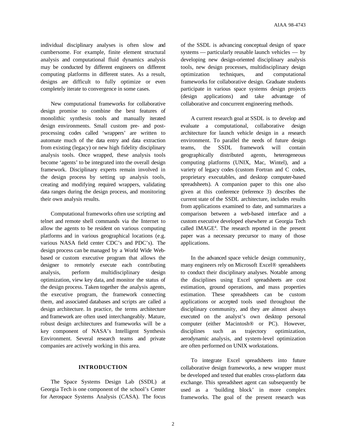individual disciplinary analyses is often slow and cumbersome. For example, finite element structural analysis and computational fluid dynamics analysis may be conducted by different engineers on different computing platforms in different states. As a result, designs are difficult to fully optimize or even completely iterate to convergence in some cases.

New computational frameworks for collaborative design promise to combine the best features of monolithic synthesis tools and manually iterated design environments. Small custom pre- and postprocessing codes called 'wrappers' are written to automate much of the data entry and data extraction from existing (legacy) or new high fidelity disciplinary analysis tools. Once wrapped, these analysis tools become 'agents' to be integrated into the overall design framework. Disciplinary experts remain involved in the design process by setting up analysis tools, creating and modifying required wrappers, validating data ranges during the design process, and monitoring their own analysis results.

Computational frameworks often use scripting and telnet and remote shell commands via the Internet to allow the agents to be resident on various computing platforms and in various geographical locations (e.g. various NASA field center CDC's and PDC's). The design process can be managed by a World Wide Webbased or custom executive program that allows the designer to remotely execute each contributing analysis, perform multidisciplinary design optimization, view key data, and monitor the status of the design process. Taken together the analysis agents, the executive program, the framework connecting them, and associated databases and scripts are called a design architecture. In practice, the terms architecture and framework are often used interchangeably. Mature, robust design architectures and frameworks will be a key component of NASA's Intelligent Synthesis Environment. Several research teams and private companies are actively working in this area.

# **INTRODUCTION**

The Space Systems Design Lab (SSDL) at Georgia Tech is one component of the school's Center for Aerospace Systems Analysis (CASA). The focus of the SSDL is advancing conceptual design of space systems — particularly reusable launch vehicles — by developing new design-oriented disciplinary analysis tools, new design processes, multidisciplinary design optimization techniques, and computational frameworks for collaborative design. Graduate students participate in various space systems design projects (design applications) and take advantage of collaborative and concurrent engineering methods.

A current research goal at SSDL is to develop and evaluate a computational, collaborative design architecture for launch vehicle design in a research environment. To parallel the needs of future design teams, the SSDL framework will contain geographically distributed agents, heterogeneous computing platforms (UNIX, Mac, Wintel), and a variety of legacy codes (custom Fortran and C codes, proprietary executables, and desktop computer-based spreadsheets). A companion paper to this one also given at this conference (reference 3) describes the current state of the SSDL architecture, includes results from applications examined to date, and summarizes a comparison between a web-based interface and a custom executive developed elsewhere at Georgia Tech called IMAGE<sup>4</sup>. The research reported in the present paper was a necessary precursor to many of those applications.

In the advanced space vehicle design community, many engineers rely on Microsoft Excel® spreadsheets to conduct their disciplinary analyses. Notable among the disciplines using Excel spreadsheets are cost estimation, ground operations, and mass properties estimation. These spreadsheets can be custom applications or accepted tools used throughout the disciplinary community, and they are almost always executed on the analyst's own desktop personal computer (either Macintosh® or PC). However, disciplines such as trajectory optimization, aerodynamic analysis, and system-level optimization are often performed on UNIX workstations.

To integrate Excel spreadsheets into future collaborative design frameworks, a new wrapper must be developed and tested that enables cross-platform data exchange. This spreadsheet agent can subsequently be used as a 'building block' in more complex frameworks. The goal of the present research was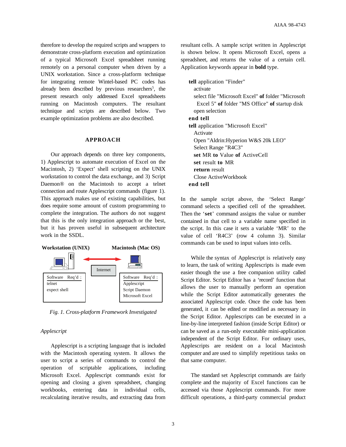therefore to develop the required scripts and wrappers to demonstrate cross-platform execution and optimization of a typical Microsoft Excel spreadsheet running remotely on a personal computer when driven by a UNIX workstation. Since a cross-platform technique for integrating remote Wintel-based PC codes has already been described by previous researchers<sup>5</sup>, the present research only addressed Excel spreadsheets running on Macintosh computers. The resultant technique and scripts are described below. Two example optimization problems are also described.

#### **APPROACH**

Our approach depends on three key components, 1) Applescript to automate execution of Excel on the Macintosh, 2) 'Expect' shell scripting on the UNIX workstation to control the data exchange, and 3) Script Daemon® on the Macintosh to accept a telnet connection and route Applescript commands (figure 1). This approach makes use of existing capabilities, but does require some amount of custom programming to complete the integration. The authors do not suggest that this is the only integration approach or the best, but it has proven useful in subsequent architecture work in the SSDL.



*Fig. 1. Cross-platform Framework Investigated*

# *Applescript*

Applescript is a scripting language that is included with the Macintosh operating system. It allows the user to script a series of commands to control the operation of scriptable applications, including Microsoft Excel. Applescript commands exist for opening and closing a given spreadsheet, changing workbooks, entering data in individual cells, recalculating iterative results, and extracting data from resultant cells. A sample script written in Applescript is shown below. It opens Microsoft Excel, opens a spreadsheet, and returns the value of a certain cell. Application keywords appear in **bold** type.

**tell** application "Finder" activate select file "Microsoft Excel" **of** folder "Microsoft Excel 5" **of** folder "MS Office" **of** startup disk open selection **end tell tell** application "Microsoft Excel" Activate Open "Aldrin:Hyperion W&S 20k LEO" Select Range "R4C3" **set** MR **to** Value **of** ActiveCell **set** result **to** MR **return** result Close ActiveWorkbook **end tell**

In the sample script above, the 'Select Range' command selects a specified cell of the spreadsheet. Then the '**set**' command assigns the value or number contained in that cell to a variable name specified in the script. In this case it sets a variable 'MR' to the value of cell 'R4C3' (row 4 column 3). Similar commands can be used to input values into cells.

While the syntax of Applescript is relatively easy to learn, the task of writing Applescripts is made even easier though the use a free companion utility called Script Editor. Script Editor has a 'record' function that allows the user to manually perform an operation while the Script Editor automatically generates the associated Applescript code. Once the code has been generated, it can be edited or modified as necessary in the Script Editor. Applescripts can be executed in a line-by-line interpreted fashion (inside Script Editor) or can be saved as a run-only executable mini-application independent of the Script Editor. For ordinary uses, Applescripts are resident on a local Macintosh computer and are used to simplify repetitious tasks on that same computer.

The standard set Applescript commands are fairly complete and the majority of Excel functions can be accessed via those Applescript commands. For more difficult operations, a third-party commercial product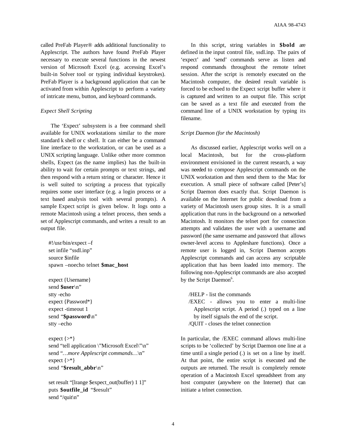called PreFab Player® adds additional functionality to Applescript. The authors have found PreFab Player necessary to execute several functions in the newest version of Microsoft Excel (e.g. accessing Excel's built-in Solver tool or typing individual keystrokes). PreFab Player is a background application that can be activated from within Applescript to perform a variety of intricate menu, button, and keyboard commands.

# *Expect Shell Scripting*

The 'Expect' subsystem is a free command shell available for UNIX workstations similar to the more standard k shell or c shell. It can either be a command line interface to the workstation, or can be used as a UNIX scripting language. Unlike other more common shells, Expect (as the name implies) has the built-in ability to wait for certain prompts or text strings, and then respond with a return string or character. Hence it is well suited to scripting a process that typically requires some user interface (e.g. a login process or a text based analysis tool with several prompts). A sample Expect script is given below. It logs onto a remote Macintosh using a telnet process, then sends a set of Applescript commands, and writes a result to an output file.

#!/usr/bin/expect –f set infile "ssdl.inp" source \$infile spawn –noecho telnet **\$mac\_host**

```
expect {Username}
send $user\n"
stty -echo
expect {Password*}
expect -timeout 1
send "$password\n"
stty –echo
```
expect  $\{>\^*\}$ send "tell application \"Microsoft Excel\"\n" send "*…more Applescript commands*...\n" expect  $\{>\^*\}$ send "**\$result\_abbr**\n"

set result "[lrange \$expect\_out(buffer) 1 1]" puts **\$outfile\_id** "\$result" send "/quit\n"

In this script, string variables in **\$bold** are defined in the input control file, ssdl.inp. The pairs of 'expect' and 'send' commands serve as listen and respond commands throughout the remote telnet session. After the script is remotely executed on the Macintosh computer, the desired result variable is forced to be echoed to the Expect script buffer where it is captured and written to an output file. This script can be saved as a text file and executed from the command line of a UNIX workstation by typing its filename.

# *Script Daemon (for the Macintosh)*

As discussed earlier, Applescript works well on a local Macintosh, but for the cross-platform environment envisioned in the current research, a way was needed to compose Applescript commands on the UNIX workstation and then send them to the Mac for execution. A small piece of software called [Peter's] Script Daemon does exactly that. Script Daemon is available on the Internet for public download from a variety of Macintosh users group sites. It is a small application that runs in the background on a networked Macintosh. It monitors the telnet port for connection attempts and validates the user with a username and password (the same username and password that allows owner-level access to Appleshare functions). Once a remote user is logged in, Script Daemon accepts Applescript commands and can access any scriptable application that has been loaded into memory. The following non-Applescript commands are also accepted by the Script Daemon<sup>6</sup>.

/HELP - list the commands /EXEC - allows you to enter a multi-line Applescript script. A period (.) typed on a line by itself signals the end of the script.

/QUIT - closes the telnet connection

In particular, the /EXEC command allows multi-line scripts to be 'collected' by Script Daemon one line at a time until a single period (.) is set on a line by itself. At that point, the entire script is executed and the outputs are returned. The result is completely remote operation of a Macintosh Excel spreadsheet from any host computer (anywhere on the Internet) that can initiate a telnet connection.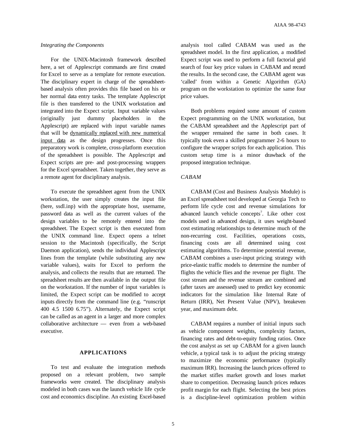# *Integrating the Components*

For the UNIX-Macintosh framework described here, a set of Applescript commands are first created for Excel to serve as a template for remote execution. The disciplinary expert in charge of the spreadsheetbased analysis often provides this file based on his or her normal data entry tasks. The template Applescript file is then transferred to the UNIX workstation and integrated into the Expect script. Input variable values (originally just dummy placeholders in the Applescript) are replaced with input variable names that will be dynamically replaced with new numerical input data as the design progresses. Once this preparatory work is complete, cross-platform execution of the spreadsheet is possible. The Applescript and Expect scripts are pre- and post-processing wrappers for the Excel spreadsheet. Taken together, they serve as a remote agent for disciplinary analysis.

To execute the spreadsheet agent from the UNIX workstation, the user simply creates the input file (here, ssdl.inp) with the appropriate host, username, password data as well as the current values of the design variables to be remotely entered into the spreadsheet. The Expect script is then executed from the UNIX command line. Expect opens a telnet session to the Macintosh (specifically, the Script Daemon application), sends the individual Applescript lines from the template (while substituting any new variable values), waits for Excel to perform the analysis, and collects the results that are returned. The spreadsheet results are then available in the output file on the workstation. If the number of input variables is limited, the Expect script can be modified to accept inputs directly from the command line (e.g. "runscript 400 4.5 1500 6.75"). Alternately, the Expect script can be called as an agent in a larger and more complex collaborative architecture — even from a web-based executive.

# **APPLICATIONS**

To test and evaluate the integration methods proposed on a relevant problem, two sample frameworks were created. The disciplinary analysis modeled in both cases was the launch vehicle life cycle cost and economics discipline. An existing Excel-based

analysis tool called CABAM was used as the spreadsheet model. In the first application, a modified Expect script was used to perform a full factorial grid search of four key price values in CABAM and record the results. In the second case, the CABAM agent was 'called' from within a Genetic Algorithm (GA) program on the workstation to optimize the same four price values.

Both problems required some amount of custom Expect programming on the UNIX workstation, but the CABAM spreadsheet and the Applescript part of the wrapper remained the same in both cases. It typically took even a skilled programmer 2-6 hours to configure the wrapper scripts for each application. This custom setup time is a minor drawback of the proposed integration technique.

# *CABAM*

CABAM (Cost and Business Analysis Module) is an Excel spreadsheet tool developed at Georgia Tech to perform life cycle cost and revenue simulations for advanced launch vehicle concepts<sup>7</sup>. Like other cost models used in advanced design, it uses weight-based cost estimating relationships to determine much of the non-recurring cost. Facilities, operations costs, financing costs are all determined using cost estimating algorithms. To determine potential revenue, CABAM combines a user-input pricing strategy with price-elastic traffic models to determine the number of flights the vehicle flies and the revenue per flight. The cost stream and the revenue stream are combined and (after taxes are assessed) used to predict key economic indicators for the simulation like Internal Rate of Return (IRR), Net Present Value (NPV), breakeven year, and maximum debt.

CABAM requires a number of initial inputs such as vehicle component weights, complexity factors, financing rates and debt-to-equity funding ratios. Once the cost analyst as set up CABAM for a given launch vehicle, a typical task is to adjust the pricing strategy to maximize the economic performance (typically maximum IRR). Increasing the launch prices offered to the market stifles market growth and loses market share to competition. Decreasing launch prices reduces profit margin for each flight. Selecting the best prices is a discipline-level optimization problem within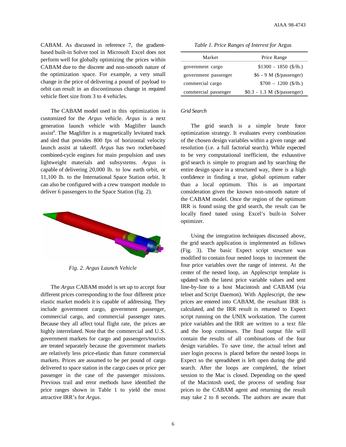CABAM. As discussed in reference 7, the gradientbased built-in Solver tool in Microsoft Excel does not perform well for globally optimizing the prices within CABAM due to the discrete and non-smooth nature of the optimization space. For example, a very small change in the price of delivering a pound of payload to orbit can result in an discontinuous change in required vehicle fleet size from 3 to 4 vehicles.

The CABAM model used in this optimization is customized for the *Argus* vehicle. *Argus* is a next generation launch vehicle with Maglifter launch assist<sup>8</sup>. The Maglifter is a magnetically levitated track and sled that provides 800 fps of horizontal velocity launch assist at takeoff. *Argus* has two rocket-based combined-cycle engines for main propulsion and uses lightweight materials and subsystems. *Argus* is capable of delivering 20,000 lb. to low earth orbit, or 11,100 lb. to the International Space Station orbit. It can also be configured with a crew transport module to deliver 6 passengers to the Space Station (fig. 2).



*Fig. 2. Argus Launch Vehicle*

The *Argus* CABAM model is set up to accept four different prices corresponding to the four different price elastic market models it is capable of addressing. They include government cargo, government passenger, commercial cargo, and commercial passenger rates. Because they all affect total flight rate, the prices are highly interrelated. Note that the commercial and U.S. government markets for cargo and passengers/tourists are treated separately because the government markets are relatively less price-elastic than future commercial markets. Prices are assumed to be per pound of cargo delivered to space station in the cargo cases or price per passenger in the case of the passenger missions. Previous trail and error methods have identified the price ranges shown in Table 1 to yield the most attractive IRR's for *Argus*.

| Market               | Price Range                           |  |  |  |
|----------------------|---------------------------------------|--|--|--|
| government cargo     | $$1300 - 1850$ (\$/lb.)               |  |  |  |
| government passenger | \$6 - 9 M (\$/passenger)              |  |  |  |
| commercial cargo     | $$700 - 1200$ (\$/lb.)                |  |  |  |
| commercial passenger | $$0.3 - 1.3 \text{ M}$ (\$/passenger) |  |  |  |

#### *Table 1. Price Ranges of Interest for* Argus

# *Grid Search*

The grid search is a simple brute force optimization strategy. It evaluates every combination of the chosen design variables within a given range and resolution (i.e. a full factorial search). While expected to be very computational inefficient, the exhaustive grid search is simple to program and by searching the entire design space in a structured way, there is a high confidence in finding a true, global optimum rather than a local optimum. This is an important consideration given the known non-smooth nature of the CABAM model. Once the region of the optimum IRR is found using the grid search, the result can be locally fined tuned using Excel's built-in Solver optimizer.

Using the integration techniques discussed above, the grid search application is implemented as follows (Fig. 3). The basic Expect script structure was modified to contain four nested loops to increment the four price variables over the range of interest. At the center of the nested loop, an Applescript template is updated with the latest price variable values and sent line-by-line to a host Macintosh and CABAM (via telnet and Script Daemon). With Applescript, the new prices are entered into CABAM, the resultant IRR is calculated, and the IRR result is returned to Expect script running on the UNIX workstation. The current price variables and the IRR are written to a text file and the loop continues. The final output file will contain the results of all combinations of the four design variables. To save time, the actual telnet and user login process is placed before the nested loops in Expect so the spreadsheet is left open during the grid search. After the loops are completed, the telnet session to the Mac is closed. Depending on the speed of the Macintosh used, the process of sending four prices to the CABAM agent and returning the result may take 2 to 8 seconds. The authors are aware that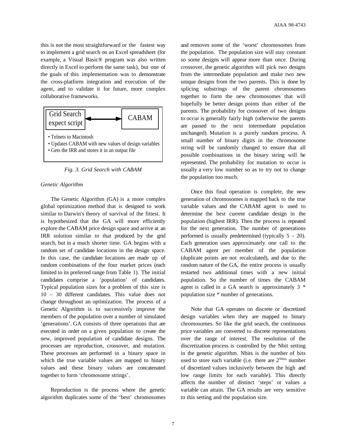this is not the most straightforward or the fastest way to implement a grid search on an Excel spreadsheet (for example, a Visual Basic® program was also written directly in Excel to perform the same task), but one of the goals of this implementation was to demonstrate the cross-platform integration and execution of the agent, and to validate it for future, more complex collaborative frameworks.



*Fig. 3. Grid Search with CABAM*

#### *Genetic Algorithm*

The Genetic Algorithm (GA) is a more complex global optimization method that is designed to work similar to Darwin's theory of survival of the fittest. It is hypothesized that the GA will more efficiently explore the CABAM price design space and arrive at an IRR solution similar to that produced by the grid search, but in a much shorter time. GA begins with a random set of candidate locations in the design space. In this case, the candidate locations are made up of random combinations of the four market prices (each limited to its preferred range from Table 1). The initial candidates comprise a 'population' of candidates. Typical population sizes for a problem of this size is 10 – 30 different candidates. This value does not change throughout an optimization. The process of a Genetic Algorithm is to successively improve the members of the population over a number of simulated 'generations'. GA consists of three operations that are executed in order on a given population to create the new, improved population of candidate designs. The processes are reproduction, crossover, and mutation. These processes are performed in a binary space in which the true variable values are mapped to binary values and these binary values are concatenated together to form 'chromosome strings'.

Reproduction is the process where the genetic algorithm duplicates some of the 'best' chromosomes

and removes some of the 'worst' chromosomes from the population. The population size will stay constant so some designs will appear more than once. During crossover, the genetic algorithm will pick two designs from the intermediate population and make two new unique designs from the two parents. This is done by splicing substrings of the parent chromosomes together to form the new chromosomes that will hopefully be better design points than either of the parents. The probability for crossover of two designs to occur is generally fairly high (otherwise the parents are passed to the next intermediate population unchanged). Mutation is a purely random process. A small number of binary digits in the chromosome string will be randomly changed to ensure that all possible combinations in the binary string will be represented. The probability for mutation to occur is usually a very low number so as to try not to change the population too much.

Once this final operation is complete, the new generation of chromosomes is mapped back to the true variable values and the CABAM agent is used to determine the best current candidate design in the population (highest IRR). Then the process is repeated for the next generation. The number of generations performed is usually predetermined (typically 5 - 20). Each generation uses approximately one call to the CABAM agent per member of the population (duplicate points are not recalculated), and due to the random nature of the GA, the entire process is usually restarted two additional times with a new initial population. So the number of times the CABAM agent is called in a GA search is approximately 3 \* population size \* number of generations.

Note that GA operates on discrete or discretized design variables when they are mapped to binary chromosomes. So like the grid search, the continuous price variables are converted to discrete representations over the range of interest. The resolution of the discretization process is controlled by the Nbit setting in the genetic algorithm. Nbits is the number of bits used to store each variable (i.e. there are  $2^{N_{\text{bits}}}$  number of discretized values inclusively between the high and low range limits for each variable). This directly affects the number of distinct 'steps' or values a variable can attain. The GA results are very sensitive to this setting and the population size.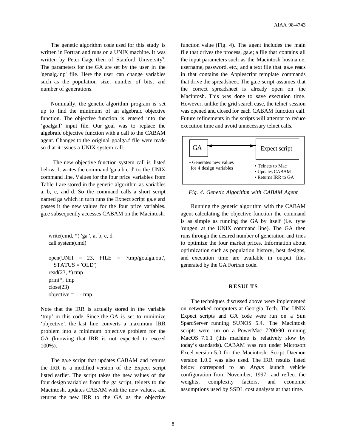The genetic algorithm code used for this study is written in Fortran and runs on a UNIX machine. It was written by Peter Gage then of Stanford University<sup>9</sup>. The parameters for the GA are set by the user in the 'genalg.inp' file. Here the user can change variables such as the population size, number of bits, and number of generations.

Nominally, the genetic algorithm program is set up to find the minimum of an algebraic objective function. The objective function is entered into the 'goalga.f' input file. Our goal was to replace the algebraic objective function with a call to the CABAM agent. Changes to the original goalga.f file were made so that it issues a UNIX system call.

 The new objective function system call is listed below. It writes the command 'ga a b c d' to the UNIX command line. Values for the four price variables from Table 1 are stored in the genetic algorithm as variables a, b, c, and d. So the command calls a short script named ga which in turn runs the Expect script ga.e and passes it the new values for the four price variables. ga.e subsequently accesses CABAM on the Macintosh.

```
write(cmd, *) 'ga ', a, b, c, d
call system(cmd)
```
 $open(UNIT = 23, FILE = '/tmp/goalga.out',$  $STATUS = 'OLD')$ read $(23, * )$  tmp print\*, tmp close(23) objective  $= 1 - \text{tmp}$ 

Note that the IRR is actually stored in the variable 'tmp' in this code. Since the GA is set to minimize 'objective', the last line converts a maximum IRR problem into a minimum objective problem for the GA (knowing that IRR is not expected to exceed 100%).

The ga.e script that updates CABAM and returns the IRR is a modified version of the Expect script listed earlier. The script takes the new values of the four design variables from the ga script, telnets to the Macintosh, updates CABAM with the new values, and returns the new IRR to the GA as the objective

function value (Fig. 4). The agent includes the main file that drives the process, ga.e; a file that contains all the input parameters such as the Macintosh hostname, username, password, etc.; and a text file that ga.e reads in that contains the Applescript template commands that drive the spreadsheet. The ga.e script assumes that the correct spreadsheet is already open on the Macintosh. This was done to save execution time. However, unlike the grid search case, the telnet session was opened and closed for each CABAM function call. Future refinements in the scripts will attempt to reduce execution time and avoid unnecessary telnet calls.



*Fig. 4. Genetic Algorithm with CABAM Agent*

Running the genetic algorithm with the CABAM agent calculating the objective function the command is as simple as running the GA by itself (i.e. type 'rungen' at the UNIX command line). The GA then runs through the desired number of generation and tries to optimize the four market prices. Information about optimization such as population history, best designs, and execution time are available in output files generated by the GA Fortran code.

# **RESULTS**

The techniques discussed above were implemented on networked computers at Georgia Tech. The UNIX Expect scripts and GA code were run on a Sun SparcServer running SUNOS 5.4. The Macintosh scripts were run on a PowerMac 7200/90 running MacOS 7.6.1 (this machine is relatively slow by today's standards). CABAM was run under Microsoft Excel version 5.0 for the Macintosh. Script Daemon version 1.0.0 was also used. The IRR results listed below correspond to an *Argus* launch vehicle configuration from November, 1997, and reflect the weights, complexity factors, and economic assumptions used by SSDL cost analysts at that time.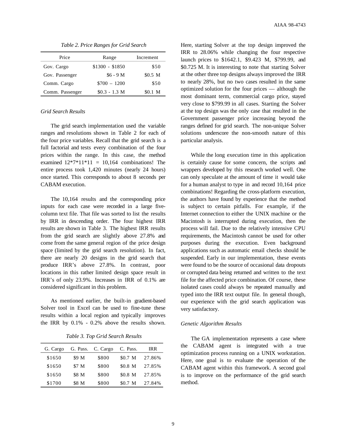| Price           | Range           | Increment |  |  |
|-----------------|-----------------|-----------|--|--|
| Gov. Cargo      | $$1300 - $1850$ | \$50      |  |  |
| Gov. Passenger  | $$6 - 9M$       | $$0.5$ M  |  |  |
| Comm. Cargo     | $$700 - 1200$   | \$50      |  |  |
| Comm. Passenger | $$0.3 - 1.3$ M  | \$0.1 M   |  |  |

*Table 2. Price Ranges for Grid Search*

#### *Grid Search Results*

The grid search implementation used the variable ranges and resolutions shown in Table 2 for each of the four price variables. Recall that the grid search is a full factorial and tests every combination of the four prices within the range. In this case, the method examined  $12*7*11*11 = 10,164$  combinations! The entire process took 1,420 minutes (nearly 24 hours) once started. This corresponds to about 8 seconds per CABAM execution.

The 10,164 results and the corresponding price inputs for each case were recorded in a large fivecolumn text file. That file was sorted to list the results by IRR in descending order. The four highest IRR results are shown in Table 3. The highest IRR results from the grid search are slightly above 27.8% and come from the same general region of the price design space (limited by the grid search resolution). In fact, there are nearly 20 designs in the grid search that produce IRR's above 27.8%. In contrast, poor locations in this rather limited design space result in IRR's of only 23.9%. Increases in IRR of 0.1% are considered significant in this problem.

As mentioned earlier, the built-in gradient-based Solver tool in Excel can be used to fine-tune these results within a local region and typically improves the IRR by 0.1% - 0.2% above the results shown.

| G. Cargo | G. Pass.     | C. Cargo | C. Pass. | <b>IRR</b> |
|----------|--------------|----------|----------|------------|
| \$1650   | \$9 M        | \$800    | \$0.7 M  | 27.86%     |
| \$1650   | \$7 M        | \$800    | \$0.8 M  | 27.85%     |
| \$1650   | \$8 M        | \$800    | \$0.8 M  | 27.85%     |
| \$1700   | <b>\$8 M</b> | \$800    | \$0.7 M  | 27.84%     |

Here, starting Solver at the top design improved the IRR to 28.06% while changing the four respective launch prices to \$1642.1, \$9.423 M, \$799.99, and \$0.725 M. It is interesting to note that starting Solver at the other three top designs always improved the IRR to nearly 28%, but no two cases resulted in the same optimized solution for the four prices — although the most dominant term, commercial cargo price, stayed very close to \$799.99 in all cases. Starting the Solver at the top design was the only case that resulted in the Government passenger price increasing beyond the ranges defined for grid search. The non-unique Solver solutions underscore the non-smooth nature of this particular analysis.

While the long execution time in this application is certainly cause for some concern, the scripts and wrappers developed by this research worked well. One can only speculate at the amount of time it would take for a human analyst to type in and record 10,164 price combinations! Regarding the cross-platform execution, the authors have found by experience that the method is subject to certain pitfalls. For example, if the Internet connection to either the UNIX machine or the Macintosh is interrupted during execution, then the process will fail. Due to the relatively intensive CPU requirements, the Macintosh cannot be used for other purposes during the execution. Even background applications such as automatic email checks should be suspended. Early in our implementation, these events were found to be the source of occasional data dropouts or corrupted data being returned and written to the text file for the affected price combination. Of course, these isolated cases could always be repeated manually and typed into the IRR text output file. In general though, our experience with the grid search application was very satisfactory.

# *Genetic Algorithm Results*

The GA implementation represents a case where the CABAM agent is integrated with a true optimization process running on a UNIX workstation. Here, one goal is to evaluate the operation of the CABAM agent within this framework. A second goal is to improve on the performance of the grid search method.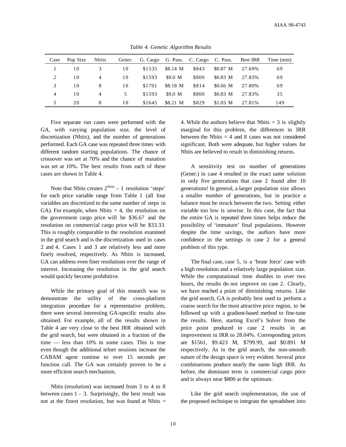| Case           | Pop Size | <b>N</b> bits  |    | Gener. G. Cargo G. Pass. C. Cargo C. Pass. Best IRR |          |       |           |        | Time (min) |
|----------------|----------|----------------|----|-----------------------------------------------------|----------|-------|-----------|--------|------------|
|                | 10       | 3              | 10 | \$1535                                              | \$8.14 M | \$843 | \$0.87 M  | 27.69% | 69         |
| 2              | 10       | $\overline{4}$ | 10 | \$1593                                              | \$9.0 M  | \$800 | $$0.83$ M | 27.83% | 69         |
| 3              | 10       | 8              | 10 | \$1701                                              | \$8.18 M | \$814 | \$0.66 M  | 27.80% | 69         |
| $\overline{4}$ | 10       | 4              | 5. | \$1593                                              | \$9.0 M  | \$800 | $$0.83$ M | 27.83% | 35         |
| 5              | 20       | 8              | 10 | \$1645                                              | \$8.21 M | \$829 | $$1.03$ M | 27.81% | 149        |

*Table 4. Genetic Algorithm Results*

Five separate run cases were performed with the GA, with varying population size, the level of discretization (Nbits), and the number of generations performed. Each GA case was repeated three times with different random starting populations. The chance of crossover was set at 70% and the chance of mutation was set at 10%. The best results from each of these cases are shown in Table 4.

Note that Nbits creates  $2^{Nbits} - 1$  resolution 'steps' for each price variable range from Table 1 (all four variables are discretized to the same number of steps in GA). For example, when Nbits  $= 4$ , the resolution on the government cargo price will be \$36.67 and the resolution on commercial cargo price will be \$33.33. This is roughly comparable to the resolution examined in the grid search and is the discretization used in cases 2 and 4. Cases 1 and 3 are relatively less and more finely resolved, respectively. As Nbits is increased, GA can address even finer resolutions over the range of interest. Increasing the resolution in the grid search would quickly become prohibitive.

While the primary goal of this research was to demonstrate the utility of the cross-platform integration procedure for a representative problem, there were several interesting GA-specific results also obtained. For example, all of the results shown in Table 4 are very close to the best IRR obtained with the grid search, but were obtained in a fraction of the time — less than 10% in some cases. This is true even though the additional telnet sessions increase the CABAM agent runtime to over 15 seconds per function call. The GA was certainly proven to be a more efficient search mechanism.

Nbits (resolution) was increased from 3 to 4 to 8 between cases  $1 - 3$ . Surprisingly, the best result was not at the finest resolution, but was found at Nbits  $=$  4. While the authors believe that Nbits  $= 3$  is slightly marginal for this problem, the differences in IRR between the Nbits  $= 4$  and 8 cases was not considered significant. Both were adequate, but higher values for Nbits are believed to result in diminishing returns.

A sensitivity test on number of generations (Gener.) in case 4 resulted in the exact same solution in only five generations that case 2 found after 10 generations! In general, a larger population size allows a smaller number of generations, but in practice a balance must be struck between the two. Setting either variable too low is unwise. In this case, the fact that the entire GA is repeated three times helps reduce the possibility of 'immature' final populations. However despite the time savings, the authors have more confidence in the settings in case 2 for a general problem of this type.

The final case, case 5, is a 'brute force' case with a high resolution and a relatively large population size. While the computational time doubles to over two hours, the results do not improve on case 2. Clearly, we have reached a point of diminishing returns. Like the grid search, GA is probably best used to perform a coarse search for the most attractive price region, to be followed up with a gradient-based method to fine-tune the results. Here, starting Excel's Solver from the price point produced in case 2 results in an improvement in IRR to 28.04%. Corresponding prices are \$1561, \$9.423 M, \$799.99, and \$0.891 M respectively. As in the grid search, the non-smooth nature of the design space is very evident. Several price combinations produce nearly the same high IRR. As before, the dominant term is commercial cargo price and is always near \$800 at the optimum.

Like the grid search implementation, the use of the proposed technique to integrate the spreadsheet into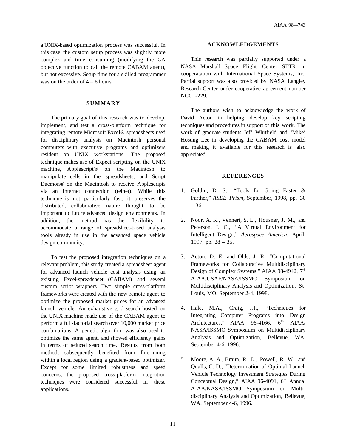a UNIX-based optimization process was successful. In this case, the custom setup process was slightly more complex and time consuming (modifying the GA objective function to call the remote CABAM agent), but not excessive. Setup time for a skilled programmer was on the order of  $4 - 6$  hours.

# **SUMMARY**

The primary goal of this research was to develop, implement, and test a cross-platform technique for integrating remote Microsoft Excel® spreadsheets used for disciplinary analysis on Macintosh personal computers with executive programs and optimizers resident on UNIX workstations. The proposed technique makes use of Expect scripting on the UNIX machine, Applescript® on the Macintosh to manipulate cells in the spreadsheets, and Script Daemon® on the Macintosh to receive Applescripts via an Internet connection (telnet). While this technique is not particularly fast, it preserves the distributed, collaborative nature thought to be important to future advanced design environments. In addition, the method has the flexibility to accommodate a range of spreadsheet-based analysis tools already in use in the advanced space vehicle design community.

To test the proposed integration techniques on a relevant problem, this study created a spreadsheet agent for advanced launch vehicle cost analysis using an existing Excel-spreadsheet (CABAM) and several custom script wrappers. Two simple cross-platform frameworks were created with the new remote agent to optimize the proposed market prices for an advanced launch vehicle. An exhaustive grid search hosted on the UNIX machine made use of the CABAM agent to perform a full-factorial search over 10,000 market price combinations. A genetic algorithm was also used to optimize the same agent, and showed efficiency gains in terms of reduced search time. Results from both methods subsequently benefited from fine-tuning within a local region using a gradient-based optimizer. Except for some limited robustness and speed concerns, the proposed cross-platform integration techniques were considered successful in these applications.

# **ACKNOWLEDGEMENTS**

This research was partially supported under a NASA Marshall Space Flight Center STTR in cooperatation with International Space Systems, Inc. Partial support was also provided by NASA Langley Research Center under cooperative agreement number NCC1-229.

The authors wish to acknowledge the work of David Acton in helping develop key scripting techniques and procedures in support of this work. The work of graduate students Jeff Whitfield and 'Mike' Hosung Lee in developing the CABAM cost model and making it available for this research is also appreciated.

#### **REFERENCES**

- 1. Goldin, D. S., "Tools for Going Faster & Farther," *ASEE Prism*, September, 1998, pp. 30 – 36.
- 2. Noor, A. K., Venneri, S. L., Housner, J. M., and Peterson, J. C., "A Virtual Environment for Intelligent Design," *Aerospace America*, April, 1997, pp. 28 – 35.
- 3. Acton, D. E. and Olds, J. R. "Computational Frameworks for Collaborative Multidisciplinary Design of Complex Systems," AIAA 98-4942, 7<sup>th</sup> AIAA/USAF/NASA/ISSMO Symposium on Multidisciplinary Analysis and Optimization, St. Louis, MO, September 2-4, 1998.
- 4. Hale, M.A., Craig, J.I., "Techniques for Integrating Computer Programs into Design Architectures," AIAA 96-4166, 6<sup>th</sup> AIAA/ NASA/ISSMO Symposium on Multidisciplinary Analysis and Optimization, Bellevue, WA, September 4-6, 1996.
- 5. Moore, A. A., Braun, R. D., Powell, R. W., and Qualls, G. D., "Determination of Optimal Launch Vehicle Technology Investment Strategies During Conceptual Design," AIAA 96-4091, 6<sup>th</sup> Annual AIAA/NASA/ISSMO Symposium on Multidisciplinary Analysis and Optimization, Bellevue, WA, September 4-6, 1996.